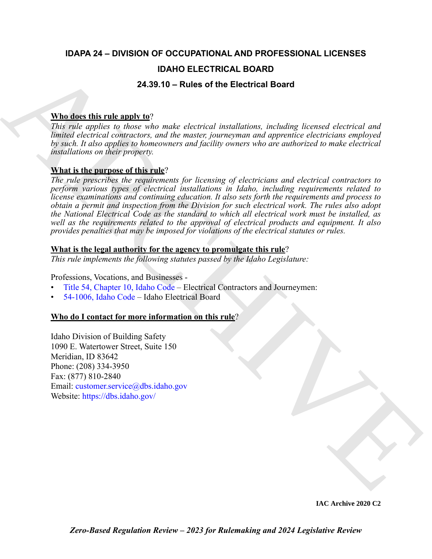### **IDAPA 24 – DIVISION OF OCCUPATIONAL AND PROFESSIONAL LICENSES**

### **IDAHO ELECTRICAL BOARD**

#### **24.39.10 – Rules of the Electrical Board**

### **Who does this rule apply to**?

*This rule applies to those who make electrical installations, including licensed electrical and limited electrical contractors, and the master, journeyman and apprentice electricians employed by such. It also applies to homeowners and facility owners who are authorized to make electrical installations on their property.* 

### **What is the purpose of this rule**?

**IDAHO ELE[C](https://legislature.idaho.gov/statutesrules/idstat/Title54/T54CH10/)TRICAL BOARD<br>
This role opplies to here who make chectrical Board<br>
This role opplies to hear who make chectrical invalidance, including licewood chectrical and<br>
begins the trial engines in the mass channel cont** *The rule prescribes the requirements for licensing of electricians and electrical contractors to perform various types of electrical installations in Idaho, including requirements related to license examinations and continuing education. It also sets forth the requirements and process to obtain a permit and inspection from the Division for such electrical work. The rules also adopt the National Electrical Code as the standard to which all electrical work must be installed, as well as the requirements related to the approval of electrical products and equipment. It also provides penalties that may be imposed for violations of the electrical statutes or rules.*

#### **What is the legal authority for the agency to promulgate this rule**?

*This rule implements the following statutes passed by the Idaho Legislature:*

Professions, Vocations, and Businesses -

- Title 54, Chapter 10, Idaho Code Electrical Contractors and Journeymen:
- 54-1006, Idaho Code Idaho Electrical Board

#### **Who do I contact for more information on this rule**?

Idaho Division of Building Safety 1090 E. Watertower Street, Suite 150 Meridian, ID 83642 Phone: (208) 334-3950 Fax: (877) 810-2840 Email: customer.service@dbs.idaho.gov Website: https://dbs.idaho.gov/

**IAC Archive 2020 C2**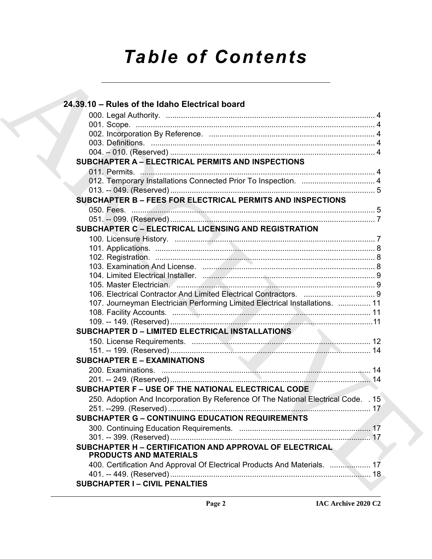# *Table of Contents*

| 24.39.10 - Rules of the Idaho Electrical board                                     |  |
|------------------------------------------------------------------------------------|--|
|                                                                                    |  |
|                                                                                    |  |
|                                                                                    |  |
|                                                                                    |  |
|                                                                                    |  |
| <b>SUBCHAPTER A - ELECTRICAL PERMITS AND INSPECTIONS</b>                           |  |
|                                                                                    |  |
| 012. Temporary Installations Connected Prior To Inspection.  4                     |  |
|                                                                                    |  |
| <b>SUBCHAPTER B - FEES FOR ELECTRICAL PERMITS AND INSPECTIONS</b>                  |  |
|                                                                                    |  |
|                                                                                    |  |
| <b>SUBCHAPTER C - ELECTRICAL LICENSING AND REGISTRATION</b>                        |  |
|                                                                                    |  |
|                                                                                    |  |
|                                                                                    |  |
|                                                                                    |  |
|                                                                                    |  |
|                                                                                    |  |
|                                                                                    |  |
| 107. Journeyman Electrician Performing Limited Electrical Installations.  11       |  |
|                                                                                    |  |
|                                                                                    |  |
| <b>SUBCHAPTER D - LIMITED ELECTRICAL INSTALLATIONS</b>                             |  |
|                                                                                    |  |
|                                                                                    |  |
| <b>SUBCHAPTER E - EXAMINATIONS</b>                                                 |  |
|                                                                                    |  |
|                                                                                    |  |
| SUBCHAPTER F - USE OF THE NATIONAL ELECTRICAL CODE                                 |  |
|                                                                                    |  |
| 250. Adoption And Incorporation By Reference Of The National Electrical Code. . 15 |  |
|                                                                                    |  |
| <b>SUBCHAPTER G - CONTINUING EDUCATION REQUIREMENTS</b>                            |  |
|                                                                                    |  |
| SUBCHAPTER H - CERTIFICATION AND APPROVAL OF ELECTRICAL                            |  |
| <b>PRODUCTS AND MATERIALS</b>                                                      |  |
| 400. Certification And Approval Of Electrical Products And Materials.  17          |  |
| <b>SUBCHAPTER I- CIVIL PENALTIES</b>                                               |  |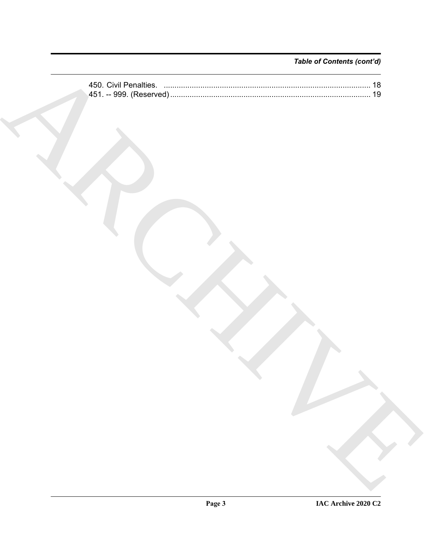### Table of Contents (cont'd)

| 450. Civil Penalties. …………………………………………………………………………………… 18 |  |
|-----------------------------------------------------------|--|
|                                                           |  |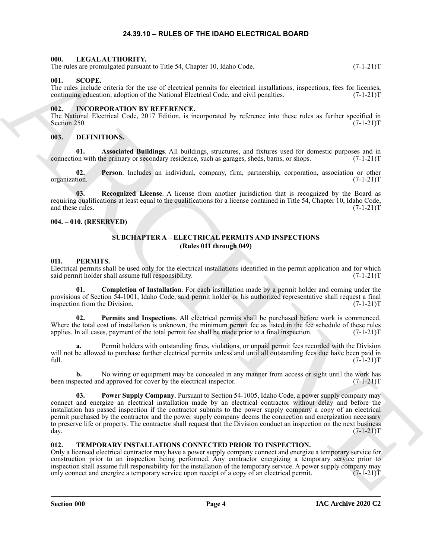#### **24.39.10 – RULES OF THE IDAHO ELECTRICAL BOARD**

#### <span id="page-3-14"></span><span id="page-3-1"></span><span id="page-3-0"></span>**000. LEGAL AUTHORITY.**

The rules are promulgated pursuant to Title 54, Chapter 10, Idaho Code. (7-1-21)T

#### <span id="page-3-19"></span><span id="page-3-2"></span>**001. SCOPE.**

The rules include criteria for the use of electrical permits for electrical installations, inspections, fees for licenses, continuing education, adoption of the National Electrical Code, and civil penalties. (7-1-21) continuing education, adoption of the National Electrical Code, and civil penalties.

#### <span id="page-3-13"></span><span id="page-3-3"></span>**002. INCORPORATION BY REFERENCE.**

The National Electrical Code, 2017 Edition, is incorporated by reference into these rules as further specified in Section 250. (7-1-21)T Section 250.  $(7-1-21)T$ 

#### <span id="page-3-9"></span><span id="page-3-4"></span>**003. DEFINITIONS.**

<span id="page-3-10"></span>**01. Associated Buildings**. All buildings, structures, and fixtures used for domestic purposes and in on with the primary or secondary residence, such as garages, sheds, barns, or shops.  $(7-1-21)$ connection with the primary or secondary residence, such as garages, sheds, barns, or shops.

<span id="page-3-11"></span>**02. Person**. Includes an individual, company, firm, partnership, corporation, association or other organization.

<span id="page-3-12"></span>**03. Recognized License**. A license from another jurisdiction that is recognized by the Board as requiring qualifications at least equal to the qualifications for a license contained in Title 54, Chapter 10, Idaho Code, and these rules. (7-1-21)T

#### <span id="page-3-6"></span><span id="page-3-5"></span>**004. – 010. (RESERVED)**

#### <span id="page-3-16"></span>**SUBCHAPTER A – ELECTRICAL PERMITS AND INSPECTIONS (Rules 011 through 049)**

#### <span id="page-3-15"></span><span id="page-3-7"></span>**011. PERMITS.**

Electrical permits shall be used only for the electrical installations identified in the permit application and for which said permit holder shall assume full responsibility. (7-1-21) said permit holder shall assume full responsibility.

**01. Completion of Installation**. For each installation made by a permit holder and coming under the provisions of Section 54-1001, Idaho Code, said permit holder or his authorized representative shall request a final inspection from the Division. (7-1-21)T

<span id="page-3-17"></span>**02. Permits and Inspections**. All electrical permits shall be purchased before work is commenced. Where the total cost of installation is unknown, the minimum permit fee as listed in the fee schedule of these rules applies. In all cases, payment of the total permit fee shall be made prior to a final inspection. (7-1-21)T

Permit holders with outstanding fines, violations, or unpaid permit fees recorded with the Division will not be allowed to purchase further electrical permits unless and until all outstanding fees due have been paid in full. (7-1-21)T full. (7-1-21)T

<span id="page-3-18"></span>**b.** No wiring or equipment may be concealed in any manner from access or sight until the work has been inspected and approved for cover by the electrical inspector. (7-1-21)T

The strength constraints in this 54, Chapter 10, kinks Core.<br>
0.1. SCOPE constraints in the strength of the strength of the strength of the strength of the strength of the strength of the strength of the strength of the s **03. Power Supply Company**. Pursuant to Section 54-1005, Idaho Code, a power supply company may connect and energize an electrical installation made by an electrical contractor without delay and before the installation has passed inspection if the contractor submits to the power supply company a copy of an electrical permit purchased by the contractor and the power supply company deems the connection and energization necessary to preserve life or property. The contractor shall request that the Division conduct an inspection on the next business day. (7-1-21)T day.  $(7-1-21)T$ 

#### <span id="page-3-20"></span><span id="page-3-8"></span>**012. TEMPORARY INSTALLATIONS CONNECTED PRIOR TO INSPECTION.**

Only a licensed electrical contractor may have a power supply company connect and energize a temporary service for construction prior to an inspection being performed. Any contractor energizing a temporary service prior to inspection shall assume full responsibility for the installation of the temporary service. A power supply company may only connect and energize a temporary service upon receipt of a copy of an electrical permit. (7-1-21)T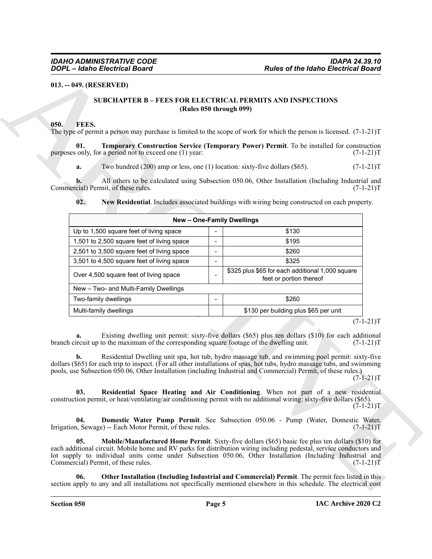#### <span id="page-4-1"></span><span id="page-4-0"></span>**013. -- 049. (RESERVED)**

#### <span id="page-4-9"></span><span id="page-4-3"></span>**SUBCHAPTER B – FEES FOR ELECTRICAL PERMITS AND INSPECTIONS (Rules 050 through 099)**

#### <span id="page-4-8"></span><span id="page-4-7"></span><span id="page-4-6"></span><span id="page-4-5"></span><span id="page-4-4"></span><span id="page-4-2"></span>**050. FEES.**

| <b>DOPL</b> - Idaho Electrical Board                                                                                                                                                                                                                                                                                                             |                | <b>Rules of the Idaho Electrical Board</b>                                                                                                                                                              |                                           |  |
|--------------------------------------------------------------------------------------------------------------------------------------------------------------------------------------------------------------------------------------------------------------------------------------------------------------------------------------------------|----------------|---------------------------------------------------------------------------------------------------------------------------------------------------------------------------------------------------------|-------------------------------------------|--|
| $013. - 049. (RESERVED)$                                                                                                                                                                                                                                                                                                                         |                |                                                                                                                                                                                                         |                                           |  |
|                                                                                                                                                                                                                                                                                                                                                  |                | <b>SUBCHAPTER B - FEES FOR ELECTRICAL PERMITS AND INSPECTIONS</b><br>(Rules 050 through 099)                                                                                                            |                                           |  |
| FEES.<br>050.<br>The type of permit a person may purchase is limited to the scope of work for which the person is licensed. $(7-1-21)$ T                                                                                                                                                                                                         |                |                                                                                                                                                                                                         |                                           |  |
| 01.<br>purposes only, for a period not to exceed one (1) year:                                                                                                                                                                                                                                                                                   |                | Temporary Construction Service (Temporary Power) Permit. To be installed for construction                                                                                                               | $(7-1-21)T$                               |  |
| Two hundred $(200)$ amp or less, one $(1)$ location: sixty-five dollars $(\$65)$ .<br>a.                                                                                                                                                                                                                                                         |                |                                                                                                                                                                                                         | $(7-1-21)T$                               |  |
| b.<br>Commercial) Permit, of these rules.<br>02.                                                                                                                                                                                                                                                                                                 |                | All others to be calculated using Subsection 050.06, Other Installation (Including Industrial and<br>New Residential. Includes associated buildings with wiring being constructed on each property.     | $(7-1-21)T$                               |  |
|                                                                                                                                                                                                                                                                                                                                                  |                | New - One-Family Dwellings                                                                                                                                                                              |                                           |  |
| Up to 1,500 square feet of living space                                                                                                                                                                                                                                                                                                          |                | \$130                                                                                                                                                                                                   |                                           |  |
| 1,501 to 2,500 square feet of living space                                                                                                                                                                                                                                                                                                       |                | \$195                                                                                                                                                                                                   |                                           |  |
| 2,501 to 3,500 square feet of living space                                                                                                                                                                                                                                                                                                       | $\blacksquare$ | \$260                                                                                                                                                                                                   |                                           |  |
| 3,501 to 4,500 square feet of living space                                                                                                                                                                                                                                                                                                       |                | \$325                                                                                                                                                                                                   |                                           |  |
| Over 4,500 square feet of living space                                                                                                                                                                                                                                                                                                           |                | \$325 plus \$65 for each additional 1,000 square<br>feet or portion thereof                                                                                                                             |                                           |  |
| New - Two- and Multi-Family Dwellings                                                                                                                                                                                                                                                                                                            |                |                                                                                                                                                                                                         |                                           |  |
| Two-family dwellings                                                                                                                                                                                                                                                                                                                             |                | \$260                                                                                                                                                                                                   |                                           |  |
| Multi-family dwellings                                                                                                                                                                                                                                                                                                                           |                | \$130 per building plus \$65 per unit                                                                                                                                                                   |                                           |  |
| a.<br>branch circuit up to the maximum of the corresponding square footage of the dwelling unit.<br>dollars (\$65) for each trip to inspect. (For all other installations of spas, hot tubs, hydro massage tubs, and swimming<br>pools, use Subsection 050.06, Other Installation (including Industrial and Commercial) Permit, of these rules.) |                | Existing dwelling unit permit: sixty-five dollars (\$65) plus ten dollars (\$10) for each additional<br>Residential Dwelling unit spa, hot tub, hydro massage tub, and swimming pool permit: sixty-five | $(7-1-21)T$<br>$(7-1-21)T$<br>$(7-1-21)T$ |  |
| 03.<br>construction permit, or heat/ventilating/air conditioning permit with no additional wiring: sixty-five dollars (\$65).                                                                                                                                                                                                                    |                | Residential Space Heating and Air Conditioning. When not part of a new residential                                                                                                                      | $(7-1-21)T$                               |  |
| 04.<br>Irrigation, Sewage) -- Each Motor Permit, of these rules.                                                                                                                                                                                                                                                                                 |                | Domestic Water Pump Permit. See Subsection 050.06 - Pump (Water, Domestic Water,                                                                                                                        | $(7-1-21)T$                               |  |
| 05.<br>each additional circuit. Mobile home and RV parks for distribution wiring including pedestal, service conductors and<br>lot supply to individual units come under Subsection 050.06, Other Installation (Including Industrial and<br>Commercial) Permit, of these rules.                                                                  |                | Mobile/Manufactured Home Permit. Sixty-five dollars (\$65) basic fee plus ten dollars (\$10) for                                                                                                        | $(7-1-21)T$                               |  |
| 06.<br>section apply to any and all installations not specifically mentioned elsewhere in this schedule. The electrical cost                                                                                                                                                                                                                     |                | Other Installation (Including Industrial and Commercial) Permit. The permit fees listed in this                                                                                                         |                                           |  |
|                                                                                                                                                                                                                                                                                                                                                  |                |                                                                                                                                                                                                         |                                           |  |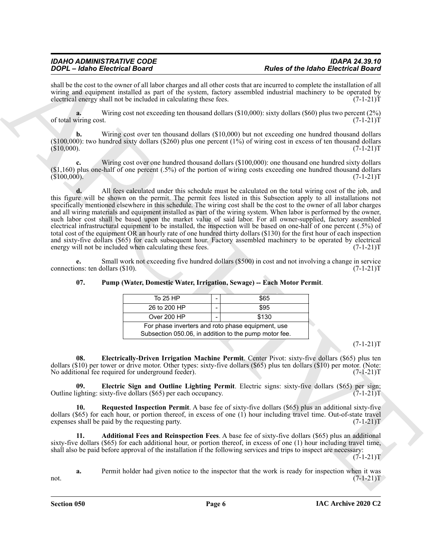shall be the cost to the owner of all labor charges and all other costs that are incurred to complete the installation of all wiring and equipment installed as part of the system, factory assembled industrial machinery to be operated by electrical energy shall not be included in calculating these fees.  $(7-1-21)$ electrical energy shall not be included in calculating these fees.

**a.** Wiring cost not exceeding ten thousand dollars (\$10,000): sixty dollars (\$60) plus two percent (2%) of total wiring cost. (7-1-21)T

**b.** Wiring cost over ten thousand dollars (\$10,000) but not exceeding one hundred thousand dollars (\$100,000): two hundred sixty dollars (\$260) plus one percent (1%) of wiring cost in excess of ten thousand dollars  $(310,000)$ .  $(7-1-21)$ T

Wiring cost over one hundred thousand dollars (\$100,000): one thousand one hundred sixty dollars (\$1,160) plus one-half of one percent (.5%) of the portion of wiring costs exceeding one hundred thousand dollars  $(3100,000)$ .  $(7-1-21)$ T

For C-1 and the Referred Road of the space of the space of the basic of the March English space of the School School School School School School School School School School School School School School School School School **d.** All fees calculated under this schedule must be calculated on the total wiring cost of the job, and this figure will be shown on the permit. The permit fees listed in this Subsection apply to all installations not specifically mentioned elsewhere in this schedule. The wiring cost shall be the cost to the owner of all labor charges and all wiring materials and equipment installed as part of the wiring system. When labor is performed by the owner, such labor cost shall be based upon the market value of said labor. For all owner-supplied, factory assembled electrical infrastructural equipment to be installed, the inspection will be based on one-half of one percent (.5%) of total cost of the equipment OR an hourly rate of one hundred thirty dollars (\$130) for the first hour of each inspection and sixty-five dollars (\$65) for each subsequent hour. Factory assembled machinery to be operated by electrical energy will not be included when calculating these fees. (7-1-21) energy will not be included when calculating these fees.

**e.** Small work not exceeding five hundred dollars (\$500) in cost and not involving a change in service ons: ten dollars (\$10). connections: ten dollars  $(\$10)$ .

|                                                                                                            | \$65  |  |  |  |  |
|------------------------------------------------------------------------------------------------------------|-------|--|--|--|--|
|                                                                                                            | \$95  |  |  |  |  |
|                                                                                                            | \$130 |  |  |  |  |
| For phase inverters and roto phase equipment, use<br>Subsection 050.06, in addition to the pump motor fee. |       |  |  |  |  |
|                                                                                                            |       |  |  |  |  |

**07. Pump (Water, Domestic Water, Irrigation, Sewage) -- Each Motor Permit**.

 $(7-1-21)T$ 

<span id="page-5-2"></span>**08. Electrically-Driven Irrigation Machine Permit**. Center Pivot: sixty-five dollars (\$65) plus ten dollars (\$10) per tower or drive motor. Other types: sixty-five dollars (\$65) plus ten dollars (\$10) per motor. (Note: No additional fee required for underground feeder). (7-1-21) No additional fee required for underground feeder).

<span id="page-5-1"></span>**Electric Sign and Outline Lighting Permit**. Electric signs: sixty-five dollars (\$65) per sign; sixty-five dollars (\$65) per each occupancy. (7-1-21) Outline lighting: sixty-five dollars  $(\$65)$  per each occupancy.

<span id="page-5-3"></span>**10. Requested Inspection Permit**. A base fee of sixty-five dollars (\$65) plus an additional sixty-five dollars (\$65) for each hour, or portion thereof, in excess of one (1) hour including travel time. Out-of-state travel expenses shall be paid by the requesting party.  $(7-1-21)$ expenses shall be paid by the requesting party.

<span id="page-5-0"></span>**11. Additional Fees and Reinspection Fees**. A base fee of sixty-five dollars (\$65) plus an additional sixty-five dollars (\$65) for each additional hour, or portion thereof, in excess of one (1) hour including travel time, shall also be paid before approval of the installation if the following services and trips to inspect are necessary:

 $(7-1-21)T$ 

**a.** Permit holder had given notice to the inspector that the work is ready for inspection when it was  $\blacksquare$  not.  $(7-1-21)$ T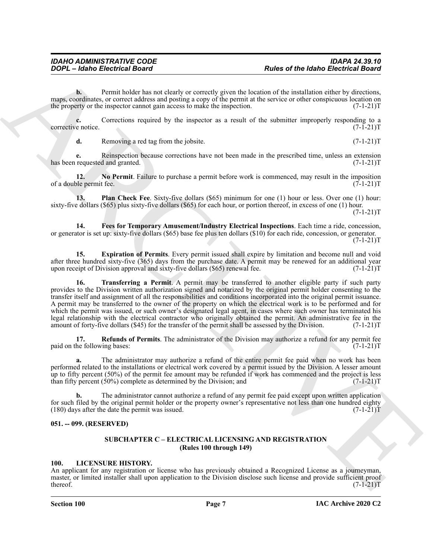**b.** Permit holder has not clearly or correctly given the location of the installation either by directions, maps, coordinates, or correct address and posting a copy of the permit at the service or other conspicuous location on the property or the inspector cannot gain access to make the inspection. (7-1-21) the property or the inspector cannot gain access to make the inspection.

**c.** Corrections required by the inspector as a result of the submitter improperly responding to a e notice.  $(7-1-21)T$ corrective notice.

<span id="page-6-5"></span>**d.** Removing a red tag from the jobsite. (7-1-21)T

**e.** Reinspection because corrections have not been made in the prescribed time, unless an extension requested and granted.  $(7-1-21)T$ has been requested and granted.

**12. No Permit**. Failure to purchase a permit before work is commenced, may result in the imposition of a double permit fee. (7-1-21)T

<span id="page-6-6"></span>**13. Plan Check Fee**. Sixty-five dollars (\$65) minimum for one (1) hour or less. Over one (1) hour: sixty-five dollars (\$65) plus sixty-five dollars (\$65) for each hour, or portion thereof, in excess of one (1) hour.

 $(7-1-21)T$ 

<span id="page-6-4"></span>**14. Fees for Temporary Amusement/Industry Electrical Inspections**. Each time a ride, concession, or generator is set up: sixty-five dollars (\$65) base fee plus ten dollars (\$10) for each ride, concession, or generator.  $(7-1-21)T$ 

<span id="page-6-8"></span><span id="page-6-3"></span>**15. Expiration of Permits**. Every permit issued shall expire by limitation and become null and void after three hundred sixty-five (365) days from the purchase date. A permit may be renewed for an additional year upon receipt of Division approval and sixty-five dollars (\$65) renewal fee.  $(7-1-21)$ upon receipt of Division approval and sixty-five dollars  $(\$65)$  renewal fee.

**From the Control Board control Board control Board control Board control Board control Board control Board control Board control Board control Board control Board control Board control Board control Board control Board c 16. Transferring a Permit**. A permit may be transferred to another eligible party if such party provides to the Division written authorization signed and notarized by the original permit holder consenting to the transfer itself and assignment of all the responsibilities and conditions incorporated into the original permit issuance. A permit may be transferred to the owner of the property on which the electrical work is to be performed and for which the permit was issued, or such owner's designated legal agent, in cases where such owner has terminated his legal relationship with the electrical contractor who originally obtained the permit. An administrative fee in the amount of forty-five dollars (\$45) for the transfer of the permit shall be assessed by the Division. (7-1-2 amount of forty-five dollars (\$45) for the transfer of the permit shall be assessed by the Division.

<span id="page-6-7"></span>**17. Refunds of Permits**. The administrator of the Division may authorize a refund for any permit fee he following bases:  $(7-1-21)T$ paid on the following bases:

**a.** The administrator may authorize a refund of the entire permit fee paid when no work has been performed related to the installations or electrical work covered by a permit issued by the Division. A lesser amount up to fifty percent (50%) of the permit fee amount may be refunded if work has commenced and the project is less than fifty percent (50%) complete as determined by the Division; and (7-1-21)T

**b.** The administrator cannot authorize a refund of any permit fee paid except upon written application for such filed by the original permit holder or the property owner's representative not less than one hundred eighty  $(180)$  days after the date the permit was issued.  $(7-1-21)$ T

#### <span id="page-6-1"></span><span id="page-6-0"></span>**051. -- 099. (RESERVED)**

#### **SUBCHAPTER C – ELECTRICAL LICENSING AND REGISTRATION (Rules 100 through 149)**

#### <span id="page-6-9"></span><span id="page-6-2"></span>**100. LICENSURE HISTORY.**

An applicant for any registration or license who has previously obtained a Recognized License as a journeyman, master, or limited installer shall upon application to the Division disclose such license and provide sufficient proof thereof. (7-1-21)T  $t$  thereof.  $(7-1-21)$ T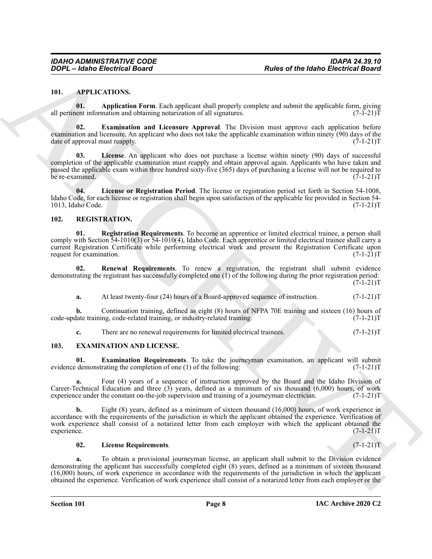#### <span id="page-7-3"></span><span id="page-7-0"></span>**101. APPLICATIONS.**

<span id="page-7-4"></span>**01. Application Form**. Each applicant shall properly complete and submit the applicable form, giving all pertinent information and obtaining notarization of all signatures.  $(7-I-21)\bar{T}$ 

<span id="page-7-5"></span>**02. Examination and Licensure Approval**. The Division must approve each application before examination and licensure. An applicant who does not take the applicable examination within ninety (90) days of the date of approval must reapply. (7-1-21)T

<span id="page-7-6"></span>**03. License**. An applicant who does not purchase a license within ninety (90) days of successful completion of the applicable examination must reapply and obtain approval again. Applicants who have taken and passed the applicable exam within three hundred sixty-five (365) days of purchasing a license will not be required to be re-examined. (7-1-21)T

<span id="page-7-7"></span>**04. License or Registration Period**. The license or registration period set forth in Section 54-1008, Idaho Code, for each license or registration shall begin upon satisfaction of the applicable fee provided in Section 54- 1013, Idaho Code.

#### <span id="page-7-11"></span><span id="page-7-1"></span>**102. REGISTRATION.**

<span id="page-7-12"></span>**01. Registration Requirements**. To become an apprentice or limited electrical trainee, a person shall comply with Section 54-1010(3) or 54-1010(4), Idaho Code. Each apprentice or limited electrical trainee shall carry a current Registration Certificate while performing electrical work and present the Registration Certificate upon request for examination. (7-1-21)T request for examination.

**02. Renewal Requirements**. To renew a registration, the registrant shall submit evidence demonstrating the registrant has successfully completed one (1) of the following during the prior registration period:  $(7-1-21)T$ 

<span id="page-7-13"></span>**a.** At least twenty-four (24) hours of a Board-approved sequence of instruction.  $(7-1-21)$ T

**b.** Continuation training, defined as eight (8) hours of NFPA 70E training and sixteen (16) hours of code-update training, code-related training, or industry-related training. (7-1-21)T

<span id="page-7-9"></span><span id="page-7-8"></span>**c.** There are no renewal requirements for limited electrical trainees. (7-1-21)T

#### <span id="page-7-2"></span>**103. EXAMINATION AND LICENSE.**

**01. Examination Requirements**. To take the journeyman examination, an applicant will submit demonstrating the completion of one (1) of the following:  $(7-1-21)$ evidence demonstrating the completion of one  $(1)$  of the following:

Four (4) years of a sequence of instruction approved by the Board and the Idaho Division of Career-Technical Education and three (3) years, defined as a minimum of six thousand (6,000) hours, of work experience under the constant on-the-job supervision and training of a journeyman electrician.  $(7-1-21)$ T experience under the constant on-the-job supervision and training of a journeyman electrician.

For the theorem is the same of the theorem is a system and property complete and some and systems is a system of the same of the same of the same of the same of the same of the same of the same of the same of the same of Eight (8) years, defined as a minimum of sixteen thousand (16,000) hours, of work experience in accordance with the requirements of the jurisdiction in which the applicant obtained the experience. Verification of work experience shall consist of a notarized letter from each employer with which the applicant obtained the experience. (7-1-21)T experience. (7-1-21)T

#### <span id="page-7-10"></span>**02. License Requirements**. (7-1-21)T

**a.** To obtain a provisional journeyman license, an applicant shall submit to the Division evidence demonstrating the applicant has successfully completed eight (8) years, defined as a minimum of sixteen thousand (16,000) hours, of work experience in accordance with the requirements of the jurisdiction in which the applicant obtained the experience. Verification of work experience shall consist of a notarized letter from each employer or the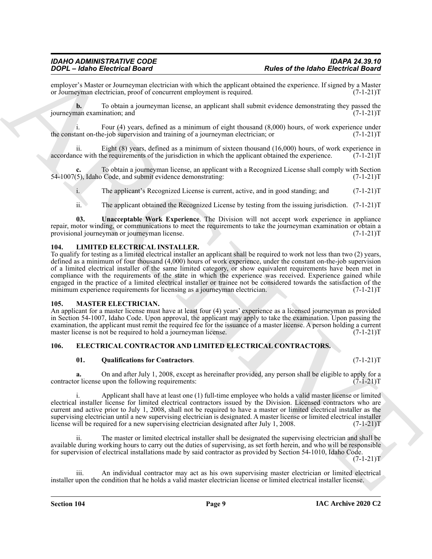employer's Master or Journeyman electrician with which the applicant obtained the experience. If signed by a Master or Journeyman electrician, proof of concurrent employment is required. (7-1-21) or Journeyman electrician, proof of concurrent employment is required.

**b.** To obtain a journeyman license, an applicant shall submit evidence demonstrating they passed the journeyman examination; and (7-1-21)T

i. Four (4) years, defined as a minimum of eight thousand  $(8,000)$  hours, of work experience under tant on-the-job supervision and training of a journeyman electrician; or  $(7-1-21)$ the constant on-the-job supervision and training of a journeyman electrician; or

ii. Eight (8) years, defined as a minimum of sixteen thousand (16,000) hours, of work experience in accordance with the requirements of the jurisdiction in which the applicant obtained the experience. (7-1-21)T

**c.** To obtain a journeyman license, an applicant with a Recognized License shall comply with Section (5), Idaho Code, and submit evidence demonstrating: (7-1-21) 54-1007(5), Idaho Code, and submit evidence demonstrating:

i. The applicant's Recognized License is current, active, and in good standing; and (7-1-21)T

<span id="page-8-5"></span>ii. The applicant obtained the Recognized License by testing from the issuing jurisdiction. (7-1-21)T

**03. Unacceptable Work Experience**. The Division will not accept work experience in appliance repair, motor winding, or communications to meet the requirements to take the journeyman examination or obtain a provisional journeyman or journeyman license. provisional journeyman or journeyman license.

#### <span id="page-8-6"></span><span id="page-8-0"></span>**104. LIMITED ELECTRICAL INSTALLER.**

Fourth-Electric Research Control is a presentation of the state of the debt Electric Research Control in the state of the state of the state of the state of the state of the state of the state of the state of the state of To qualify for testing as a limited electrical installer an applicant shall be required to work not less than two (2) years, defined as a minimum of four thousand (4,000) hours of work experience, under the constant on-the-job supervision of a limited electrical installer of the same limited category, or show equivalent requirements have been met in compliance with the requirements of the state in which the experience was received. Experience gained while engaged in the practice of a limited electrical installer or trainee not be considered towards the satisfaction of the minimum experience requirements for licensing as a journeyman electrician. (7-1-21)T

#### <span id="page-8-7"></span><span id="page-8-1"></span>**105. MASTER ELECTRICIAN.**

An applicant for a master license must have at least four (4) years' experience as a licensed journeyman as provided in Section 54-1007, Idaho Code. Upon approval, the applicant may apply to take the examination. Upon passing the examination, the applicant must remit the required fee for the issuance of a master license. A person holding a current master license is not be required to hold a journeyman license. (7-1-21)T

#### <span id="page-8-2"></span>**106. ELECTRICAL CONTRACTOR AND LIMITED ELECTRICAL CONTRACTORS.**

#### <span id="page-8-4"></span><span id="page-8-3"></span>**01. Qualifications for Contractors**. (7-1-21)T

**a.** On and after July 1, 2008, except as hereinafter provided, any person shall be eligible to apply for a providently for a provided and interest  $(7-1-21)$ T contractor license upon the following requirements:

Applicant shall have at least one (1) full-time employee who holds a valid master license or limited electrical installer license for limited electrical contractors issued by the Division. Licensed contractors who are current and active prior to July 1, 2008, shall not be required to have a master or limited electrical installer as the supervising electrician until a new supervising electrician is designated. A master license or limited electrical installer license will be required for a new supervising electrician designated after July 1, 2008. (7-1-21)T

ii. The master or limited electrical installer shall be designated the supervising electrician and shall be available during working hours to carry out the duties of supervising, as set forth herein, and who will be responsible for supervision of electrical installations made by said contractor as provided by Section 54-1010, Idaho Code.

 $(7-1-21)T$ 

An individual contractor may act as his own supervising master electrician or limited electrical installer upon the condition that he holds a valid master electrician license or limited electrical installer license.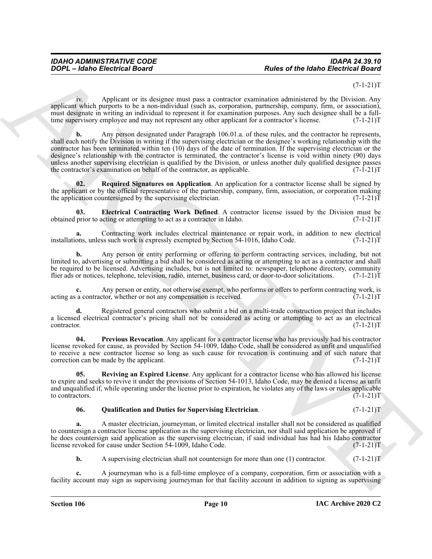#### $(7-1-21)T$

iv. Applicant or its designee must pass a contractor examination administered by the Division. Any applicant which purports to be a non-individual (such as, corporation, partnership, company, firm, or association), must designate in writing an individual to represent it for examination purposes. Any such designee shall be a fulltime supervisory employee and may not represent any other applicant for a contractor's license.  $(7-1-21)T$ 

Follows Electrics I Board<br>
2006 C = 1640 to the state and the state and the state and the state and the state and the state and the state and the state and the state and the state and the state and the state and the state **b.** Any person designated under Paragraph 106.01.a. of these rules, and the contractor he represents, shall each notify the Division in writing if the supervising electrician or the designee's working relationship with the contractor has been terminated within ten (10) days of the date of termination. If the supervising electrician or the designee's relationship with the contractor is terminated, the contractor's license is void within ninety (90) days unless another supervising electrician is qualified by the Division, or unless another duly qualified designee passes<br>the contractor's examination on behalf of the contractor, as applicable.  $(7-1-21)$ the contractor's examination on behalf of the contractor, as applicable.

<span id="page-9-3"></span>**02.** Required Signatures on Application. An application for a contractor license shall be signed by the applicant or by the official representative of the partnership, company, firm, association, or corporation making the application countersigned by the supervising electrician. (7-1-21) the application countersigned by the supervising electrician.

<span id="page-9-0"></span>**Electrical Contracting Work Defined**. A contractor license issued by the Division must be acting or attempting to act as a contractor in Idaho. (7-1-21) obtained prior to acting or attempting to act as a contractor in Idaho.

**a.** Contracting work includes electrical maintenance or repair work, in addition to new electrical ons, unless such work is expressly exempted by Section 54-1016, Idaho Code.  $(7-1-21)$ T installations, unless such work is expressly exempted by Section 54-1016, Idaho Code.

**b.** Any person or entity performing or offering to perform contracting services, including, but not limited to, advertising or submitting a bid shall be considered as acting or attempting to act as a contractor and shall be required to be licensed. Advertising includes, but is not limited to: newspaper, telephone directory, community flier ads or notices, telephone, television, radio, internet, business card, or door-to-door solicitations. (7-1-21)T

**c.** Any person or entity, not otherwise exempt, who performs or offers to perform contracting work, is a contractor, whether or not any compensation is received. (7-1-21) acting as a contractor, whether or not any compensation is received.

**d.** Registered general contractors who submit a bid on a multi-trade construction project that includes a licensed electrical contractor's pricing shall not be considered as acting or attempting to act as an electrical contractor. (7-1-21)T contractor. (7-1-21)T

<span id="page-9-1"></span>**04. Previous Revocation**. Any applicant for a contractor license who has previously had his contractor license revoked for cause, as provided by Section 54-1009, Idaho Code, shall be considered as unfit and unqualified to receive a new contractor license so long as such cause for revocation is continuing and of such nature that correction can be made by the applicant.  $(7-1-21)T$ correction can be made by the applicant.

**05. Reviving an Expired License**. Any applicant for a contractor license who has allowed his license to expire and seeks to revive it under the provisions of Section 54-1013, Idaho Code, may be denied a license as unfit and unqualified if, while operating under the license prior to expiration, he violates any of the laws or rules applicable to contractors. (7-1-21)T to contractors.  $(7-1-21)T$ 

#### <span id="page-9-4"></span><span id="page-9-2"></span>**06. Qualification and Duties for Supervising Electrician**. (7-1-21)T

**a.** A master electrician, journeyman, or limited electrical installer shall not be considered as qualified to countersign a contractor license application as the supervising electrician, nor shall said application be approved if he does countersign said application as the supervising electrician, if said individual has had his Idaho contractor license revoked for cause under Section 54-1009, Idaho Code. (7-1-21)T

**b.** A supervising electrician shall not countersign for more than one (1) contractor. (7-1-21)T

**c.** A journeyman who is a full-time employee of a company, corporation, firm or association with a facility account may sign as supervising journeyman for that facility account in addition to signing as supervising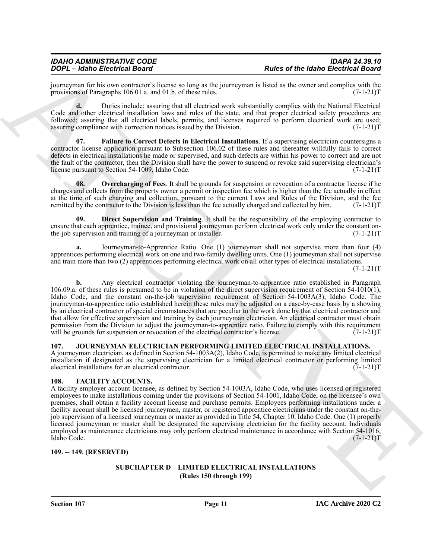## *IDAHO ADMINISTRATIVE CODE IDAPA 24.39.10*

journeyman for his own contractor's license so long as the journeyman is listed as the owner and complies with the provisions of Paragraphs 106.01.a. and 01.b. of these rules. (7-1-21) provisions of Paragraphs 106.01.a. and 01.b. of these rules.

**d.** Duties include: assuring that all electrical work substantially complies with the National Electrical Code and other electrical installation laws and rules of the state, and that proper electrical safety procedures are followed; assuring that all electrical labels, permits, and licenses required to perform electrical work are used; assuring compliance with correction notices issued by the Division. (7-1-21) assuring compliance with correction notices issued by the Division.

<span id="page-10-5"></span>**07. Failure to Correct Defects in Electrical Installations**. If a supervising electrician countersigns a contractor license application pursuant to Subsection 106.02 of these rules and thereafter willfully fails to correct defects in electrical installations he made or supervised, and such defects are within his power to correct and are not the fault of the contractor, then the Division shall have the power to suspend or revoke said supervising electrician's license pursuant to Section 54-1009. Idaho Code. (7-1-21) license pursuant to Section 54-1009, Idaho Code.

<span id="page-10-6"></span>**08.** Overcharging of Fees. It shall be grounds for suspension or revocation of a contractor license if he charges and collects from the property owner a permit or inspection fee which is higher than the fee actually in effect at the time of such charging and collection, pursuant to the current Laws and Rules of the Division, and the fee<br>remitted by the contractor to the Division is less than the fee actually charged and collected by him. (7-1-2 remitted by the contractor to the Division is less than the fee actually charged and collected by him.

<span id="page-10-4"></span>**09. Direct Supervision and Training**. It shall be the responsibility of the employing contractor to ensure that each apprentice, trainee, and provisional journeyman perform electrical work only under the constant on-<br>the-job supervision and training of a journeyman or installer. (7-1-21) the-job supervision and training of a journeyman or installer.

**a.** Journeyman-to-Apprentice Ratio. One (1) journeyman shall not supervise more than four (4) apprentices performing electrical work on one and two-family dwelling units. One (1) journeyman shall not supervise and train more than two (2) apprentices performing electrical work on all other types of electrical installations.

 $(7-1-21)T$ 

Four-Learning Reservoir Reservoir Reservoir Reservoir Reservoir Reservoir Reservoir Reservoir Reservoir Reservoir Reservoir Reservoir Reservoir Reservoir Reservoir Reservoir Reservoir Reservoir Reservoir Reservoir Reservo **b.** Any electrical contractor violating the journeyman-to-apprentice ratio established in Paragraph 106.09.a. of these rules is presumed to be in violation of the direct supervision requirement of Section 54-1010(1), Idaho Code, and the constant on-the-job supervision requirement of Section 54-1003A(3), Idaho Code. The journeyman-to-apprentice ratio established herein these rules may be adjusted on a case-by-case basis by a showing by an electrical contractor of special circumstances that are peculiar to the work done by that electrical contractor and that allow for effective supervision and training by each journeyman electrician. An electrical contractor must obtain permission from the Division to adjust the journeyman-to-apprentice ratio. Failure to comply with this requirement will be grounds for suspension or revocation of the electrical contractor's license. (7-1-21)T

#### <span id="page-10-8"></span><span id="page-10-0"></span>**107. JOURNEYMAN ELECTRICIAN PERFORMING LIMITED ELECTRICAL INSTALLATIONS.**

A journeyman electrician, as defined in Section 54-1003A(2), Idaho Code, is permitted to make any limited electrical installation if designated as the supervising electrician for a limited electrical contractor or performing limited electrical installations for an electrical contractor. (7-1-21)T

#### <span id="page-10-7"></span><span id="page-10-1"></span>**108. FACILITY ACCOUNTS.**

A facility employer account licensee, as defined by Section 54-1003A, Idaho Code, who uses licensed or registered employees to make installations coming under the provisions of Section 54-1001, Idaho Code, on the licensee's own premises, shall obtain a facility account license and purchase permits. Employees performing installations under a facility account shall be licensed journeymen, master, or registered apprentice electricians under the constant on-thejob supervision of a licensed journeyman or master as provided in Title 54, Chapter 10, Idaho Code. One (1) properly licensed journeyman or master shall be designated the supervising electrician for the facility account. Individuals employed as maintenance electricians may only perform electrical maintenance in accordance with Section 54-1016,<br>[7-1-21] Idaho Code. (7-1-21)T

#### <span id="page-10-3"></span><span id="page-10-2"></span>**109. -- 149. (RESERVED)**

#### **SUBCHAPTER D – LIMITED ELECTRICAL INSTALLATIONS (Rules 150 through 199)**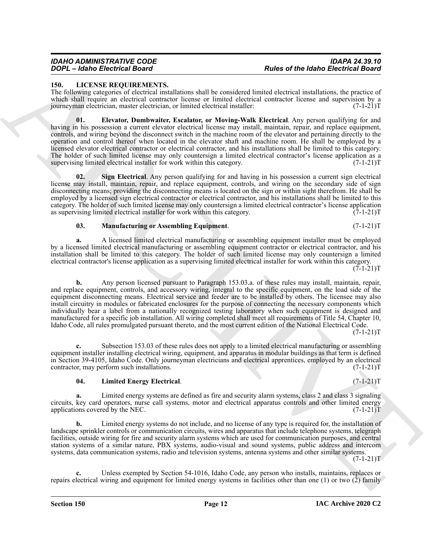#### *IDAHO ADMINISTRATIVE CODE IDAPA 24.39.10 DOPL – Idaho Electrical Board Rules of the Idaho Electrical Board*

#### <span id="page-11-5"></span><span id="page-11-0"></span>**150. LICENSE REQUIREMENTS.**

The following categories of electrical installations shall be considered limited electrical installations, the practice of which shall require an electrical contractor license or limited electrical contractor license and supervision by a<br>journeyman electrician, master electrician, or limited electrical installer: (7-1-21) journeyman electrician, master electrician, or limited electrical installer:

<span id="page-11-1"></span>**01. Elevator, Dumbwaiter, Escalator, or Moving-Walk Electrical**. Any person qualifying for and having in his possession a current elevator electrical license may install, maintain, repair, and replace equipment, controls, and wiring beyond the disconnect switch in the machine room of the elevator and pertaining directly to the operation and control thereof when located in the elevator shaft and machine room. He shall be employed by a licensed elevator electrical contractor or electrical contractor, and his installations shall be limited to this category. The holder of such limited license may only countersign a limited electrical contractor's license application as a supervising limited electrical installer for work within this category.  $(7-1-21)$ supervising limited electrical installer for work within this category.

<span id="page-11-4"></span>**Sign Electrical.** Any person qualifying for and having in his possession a current sign electrical license may install, maintain, repair, and replace equipment, controls, and wiring on the secondary side of sign disconnecting means; providing the disconnecting means is located on the sign or within sight therefrom. He shall be employed by a licensed sign electrical contractor or electrical contractor, and his installations shall be limited to this category. The holder of such limited license may only countersign a limited electrical contractor's license application as supervising limited electrical installer for work within this category.  $(7-1-21)$ T

#### <span id="page-11-3"></span>**03.** Manufacturing or Assembling Equipment. (7-1-21)T

**a.** A licensed limited electrical manufacturing or assembling equipment installer must be employed by a licensed limited electrical manufacturing or assembling equipment contractor or electrical contractor, and his installation shall be limited to this category. The holder of such limited license may only countersign a limited electrical contractor's license application as a supervising limited electrical installer for work within this category.  $(7-1-21)T$ 

For  $\frac{1}{2}$  and  $\frac{1}{2}$  and  $\frac{1}{2}$  and  $\frac{1}{2}$  and  $\frac{1}{2}$  and  $\frac{1}{2}$  and  $\frac{1}{2}$  and  $\frac{1}{2}$  and  $\frac{1}{2}$  and  $\frac{1}{2}$  and  $\frac{1}{2}$  and  $\frac{1}{2}$  and  $\frac{1}{2}$  and  $\frac{1}{2}$  and  $\frac{1}{2}$  and  $\frac{1}{2$ **b.** Any person licensed pursuant to Paragraph 153.03.a. of these rules may install, maintain, repair, and replace equipment, controls, and accessory wiring, integral to the specific equipment, on the load side of the equipment disconnecting means. Electrical service and feeder are to be installed by others. The licensee may also install circuitry in modules or fabricated enclosures for the purpose of connecting the necessary components which individually bear a label from a nationally recognized testing laboratory when such equipment is designed and manufactured for a specific job installation. All wiring completed shall meet all requirements of Title 54, Chapter 10, Idaho Code, all rules promulgated pursuant thereto, and the most current edition of the National Electrical Code.

 $(7-1-21)T$ 

**c.** Subsection 153.03 of these rules does not apply to a limited electrical manufacturing or assembling equipment installer installing electrical wiring, equipment, and apparatus in modular buildings as that term is defined in Section 39-4105, Idaho Code. Only journeyman electricians and electrical apprentices, employed by an electrical contractor, may perform such installations. (7-1-21)T

#### <span id="page-11-2"></span>**04. Limited Energy Electrical**. (7-1-21)T

**a.** Limited energy systems are defined as fire and security alarm systems, class 2 and class 3 signaling circuits, key card operators, nurse call systems, motor and electrical apparatus controls and other limited energy applications covered by the NEC. (7-1-21)T

**b.** Limited energy systems do not include, and no license of any type is required for, the installation of landscape sprinkler controls or communication circuits, wires and apparatus that include telephone systems, telegraph facilities, outside wiring for fire and security alarm systems which are used for communication purposes, and central station systems of a similar nature, PBX systems, audio-visual and sound systems, public address and intercom systems, data communication systems, radio and television systems, antenna systems and other similar systems.

 $(7-1-21)T$ 

**c.** Unless exempted by Section 54-1016, Idaho Code, any person who installs, maintains, replaces or repairs electrical wiring and equipment for limited energy systems in facilities other than one (1) or two (2) family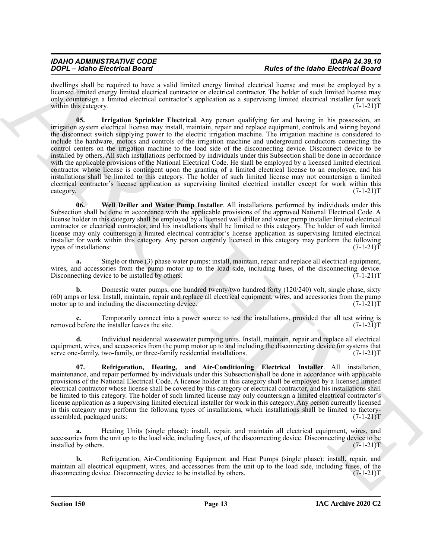| <b>IDAHO ADMINISTRATIVE CODE</b> | <b>IDAPA 24.39.10</b>                      |
|----------------------------------|--------------------------------------------|
| DOPL - Idaho Electrical Board    | <b>Rules of the Idaho Electrical Board</b> |
|                                  |                                            |

<span id="page-12-0"></span>dwellings shall be required to have a valid limited energy limited electrical license and must be employed by a licensed limited energy limited electrical contractor or electrical contractor. The holder of such limited license may only countersign a limited electrical contractor's application as a supervising limited electrical installer for work within this category. (7-1-21) T

**SOCI-Usine Breatrice** in the state of the basis of the basis of the basis of the basis of the state of the state of the state of the state of the state of the state of the state of the state of the state of the state of **05. Irrigation Sprinkler Electrical**. Any person qualifying for and having in his possession, an irrigation system electrical license may install, maintain, repair and replace equipment, controls and wiring beyond the disconnect switch supplying power to the electric irrigation machine. The irrigation machine is considered to include the hardware, motors and controls of the irrigation machine and underground conductors connecting the control centers on the irrigation machine to the load side of the disconnecting device. Disconnect device to be installed by others. All such installations performed by individuals under this Subsection shall be done in accordance with the applicable provisions of the National Electrical Code. He shall be employed by a licensed limited electrical contractor whose license is contingent upon the granting of a limited electrical license to an employee, and his installations shall be limited to this category. The holder of such limited license may not countersign a limited electrical contractor's license application as supervising limited electrical installer except for work within this category. (7-1-21)T

<span id="page-12-2"></span>**06. Well Driller and Water Pump Installer**. All installations performed by individuals under this Subsection shall be done in accordance with the applicable provisions of the approved National Electrical Code. A license holder in this category shall be employed by a licensed well driller and water pump installer limited electrical contractor or electrical contractor, and his installations shall be limited to this category. The holder of such limited license may only countersign a limited electrical contractor's license application as supervising limited electrical installer for work within this category. Any person currently licensed in this category may perform the following types of installations: (7-1-21)T

**a.** Single or three (3) phase water pumps: install, maintain, repair and replace all electrical equipment, wires, and accessories from the pump motor up to the load side, including fuses, of the disconnecting device. Disconnecting device to be installed by others. (7-1-21)T

**b.** Domestic water pumps, one hundred twenty/two hundred forty (120/240) volt, single phase, sixty (60) amps or less: Install, maintain, repair and replace all electrical equipment, wires, and accessories from the pump motor up to and including the disconnecting device.  $(7-1-21)T$ 

Temporarily connect into a power source to test the installations, provided that all test wiring is the installer leaves the site.  $(7-1-21)T$ removed before the installer leaves the site.

**d.** Individual residential wastewater pumping units. Install, maintain, repair and replace all electrical equipment, wires, and accessories from the pump motor up to and including the disconnecting device for systems that serve one-family, two-family, or three-family residential installations. (7-1-21)T

<span id="page-12-1"></span>**07. Refrigeration, Heating, and Air-Conditioning Electrical Installer**. All installation, maintenance, and repair performed by individuals under this Subsection shall be done in accordance with applicable provisions of the National Electrical Code. A license holder in this category shall be employed by a licensed limited electrical contractor whose license shall be covered by this category or electrical contractor, and his installations shall be limited to this category. The holder of such limited license may only countersign a limited electrical contractor's license application as a supervising limited electrical installer for work in this category. Any person currently licensed in this category may perform the following types of installations, which installations shall be limited to factoryassembled, packaged units: (7-1-21)T

**a.** Heating Units (single phase): install, repair, and maintain all electrical equipment, wires, and accessories from the unit up to the load side, including fuses, of the disconnecting device. Disconnecting device to be installed by others. (7-1-21)T

**b.** Refrigeration, Air-Conditioning Equipment and Heat Pumps (single phase): install, repair, and maintain all electrical equipment, wires, and accessories from the unit up to the load side, including fuses, of the disconnecting device. Disconnecting device to be installed by others. (7-1-21)T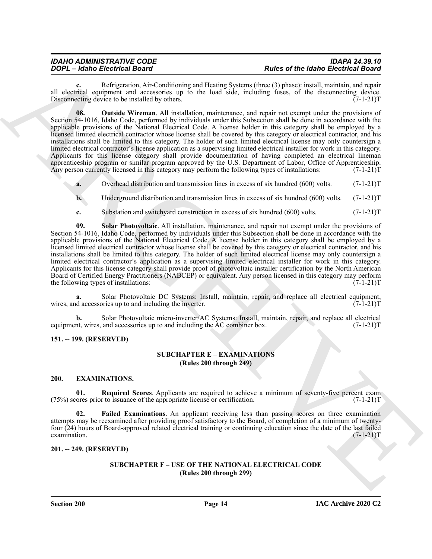## *IDAHO ADMINISTRATIVE CODE IDAPA 24.39.10*

<span id="page-13-5"></span>**c.** Refrigeration, Air-Conditioning and Heating Systems (three (3) phase): install, maintain, and repair all electrical equipment and accessories up to the load side, including fuses, of the disconnecting device.<br>Disconnecting device to be installed by others. (7-1-21) Disconnecting device to be installed by others.

**FORCES Schemation And Constrainers** (**A** later of the base of the base English Constrainers (**A** later of the schemation of the schemation of the schemation of the schemation of the schemation of the schemation of the sc **08. Outside Wireman**. All installation, maintenance, and repair not exempt under the provisions of Section 54-1016, Idaho Code, performed by individuals under this Subsection shall be done in accordance with the applicable provisions of the National Electrical Code. A license holder in this category shall be employed by a licensed limited electrical contractor whose license shall be covered by this category or electrical contractor, and his installations shall be limited to this category. The holder of such limited electrical license may only countersign a limited electrical contractor's license application as a supervising limited electrical installer for work in this category. Applicants for this license category shall provide documentation of having completed an electrical lineman apprenticeship program or similar program approved by the U.S. Department of Labor, Office of Apprenticeship.<br>Any person currently licensed in this category may perform the following types of installations: (7-1-21)T Any person currently licensed in this category may perform the following types of installations:

**a.** Overhead distribution and transmission lines in excess of six hundred (600) volts. (7-1-21) T

**b.** Underground distribution and transmission lines in excess of six hundred (600) volts. (7-1-21)T

<span id="page-13-6"></span>**c.** Substation and switchyard construction in excess of six hundred (600) volts. (7-1-21)T

**09. Solar Photovoltaic**. All installation, maintenance, and repair not exempt under the provisions of Section 54-1016, Idaho Code, performed by individuals under this Subsection shall be done in accordance with the applicable provisions of the National Electrical Code. A license holder in this category shall be employed by a licensed limited electrical contractor whose license shall be covered by this category or electrical contractor, and his installations shall be limited to this category. The holder of such limited electrical license may only countersign a limited electrical contractor's application as a supervising limited electrical installer for work in this category. Applicants for this license category shall provide proof of photovoltaic installer certification by the North American Board of Certified Energy Practitioners (NABCEP) or equivalent. Any person licensed in this category may perform the following types of installations: (7-1-21)T

**a.** Solar Photovoltaic DC Systems: Install, maintain, repair, and replace all electrical equipment, d accessories up to and including the inverter. (7-1-21) wires, and accessories up to and including the inverter.

**b.** Solar Photovoltaic micro-inverter/AC Systems: Install, maintain, repair, and replace all electrical nt, wires, and accessories up to and including the AC combiner box. (7-1-21) equipment, wires, and accessories up to and including the AC combiner box.

#### <span id="page-13-1"></span><span id="page-13-0"></span>**151. -- 199. (RESERVED)**

#### **SUBCHAPTER E – EXAMINATIONS (Rules 200 through 249)**

#### <span id="page-13-7"></span><span id="page-13-2"></span>**200. EXAMINATIONS.**

<span id="page-13-9"></span>**01.** Required Scores. Applicants are required to achieve a minimum of seventy-five percent exam ores prior to issuance of the appropriate license or certification. (7-1-21)  $(75%)$  scores prior to issuance of the appropriate license or certification.

<span id="page-13-8"></span>**Failed Examinations.** An applicant receiving less than passing scores on three examination attempts may be reexamined after providing proof satisfactory to the Board, of completion of a minimum of twentyfour (24) hours of Board-approved related electrical training or continuing education since the date of the last failed examination. (7-1-21)T examination.  $(7-1-21)T$ 

#### <span id="page-13-4"></span><span id="page-13-3"></span>**201. -- 249. (RESERVED)**

#### **SUBCHAPTER F – USE OF THE NATIONAL ELECTRICAL CODE (Rules 200 through 299)**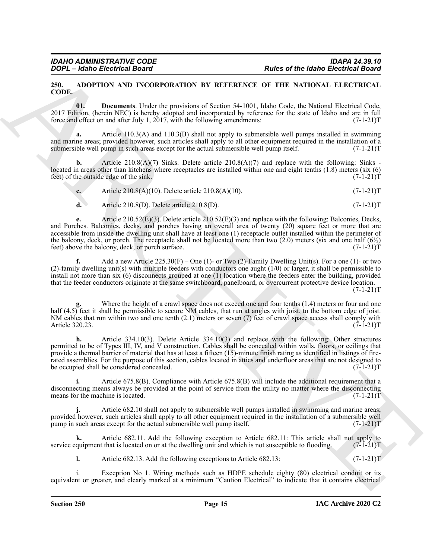#### <span id="page-14-1"></span><span id="page-14-0"></span>**250. ADOPTION AND INCORPORATION BY REFERENCE OF THE NATIONAL ELECTRICAL CODE.**

<span id="page-14-2"></span>**01. Documents**. Under the provisions of Section 54-1001, Idaho Code, the National Electrical Code, 2017 Edition, (herein NEC) is hereby adopted and incorporated by reference for the state of Idaho and are in full force and effect on and after July 1, 2017, with the following amendments:  $(7-1-21)$ T

**a.** Article 110.3(A) and 110.3(B) shall not apply to submersible well pumps installed in swimming and marine areas; provided however, such articles shall apply to all other equipment required in the installation of a submersible well pump in such areas except for the actual submersible well pump itself.  $(7-1-21)T$ 

**b.** Article 210.8(A)(7) Sinks. Delete article 210.8(A)(7) and replace with the following: Sinks located in areas other than kitchens where receptacles are installed within one and eight tenths (1.8) meters (six (6) feet) of the outside edge of the sink. (7-1-21)T

| $\mathbf{r}$<br>c. | Article $210.8(A)(10)$ . Delete article $210.8(A)(10)$ . | $(7-1-21)T$ |
|--------------------|----------------------------------------------------------|-------------|
|                    |                                                          |             |

**d.** Article 210.8(D). Delete article 210.8(D). (7-1-21)T

For  $\epsilon$  and  $\epsilon$  and  $\epsilon$  and  $\epsilon$  be the state of the state of the state of the state of the state of the state of the state of the state of the state of the state of the state of the state of the state of the state of **e.** Article 210.52(E)(3). Delete article 210.52(E)(3) and replace with the following: Balconies, Decks, and Porches. Balconies, decks, and porches having an overall area of twenty (20) square feet or more that are accessible from inside the dwelling unit shall have at least one (1) receptacle outlet installed within the perimeter of the balcony, deck, or porch. The receptacle shall not be located more than two (2.0) meters (six and one half  $(6\frac{1}{2})$  feet) above the balcony, deck, or porch surface. (7-1-21) feet) above the balcony, deck, or porch surface.

**f.** Add a new Article  $225.30(F)$  – One (1)- or Two (2)-Family Dwelling Unit(s). For a one (1)- or two (2)-family dwelling unit(s) with multiple feeders with conductors one aught (1/0) or larger, it shall be permissible to install not more than six (6) disconnects grouped at one (1) location where the feeders enter the building, provided that the feeder conductors originate at the same switchboard, panelboard, or overcurrent protective device location.

 $(7-1-21)T$ 

Where the height of a crawl space does not exceed one and four tenths (1.4) meters or four and one half (4.5) feet it shall be permissible to secure NM cables, that run at angles with joist, to the bottom edge of joist. NM cables that run within two and one tenth (2.1) meters or seven (7) feet of crawl space access shall comply with Article 320.23.  $(7-1-21)T$ Article 320.23.

**h.** Article 334.10(3). Delete Article 334.10(3) and replace with the following: Other structures permitted to be of Types III, IV, and V construction. Cables shall be concealed within walls, floors, or ceilings that provide a thermal barrier of material that has at least a fifteen (15)-minute finish rating as identified in listings of firerated assemblies. For the purpose of this section, cables located in attics and underfloor areas that are not designed to be occupied shall be considered concealed. (7-1-21)T

**i.** Article 675.8(B). Compliance with Article 675.8(B) will include the additional requirement that a disconnecting means always be provided at the point of service from the utility no matter where the disconnecting means for the machine is located.  $(7-1-21)$ means for the machine is located.

**j.** Article 682.10 shall not apply to submersible well pumps installed in swimming and marine areas; provided however, such articles shall apply to all other equipment required in the installation of a submersible well<br>pump in such areas except for the actual submersible well pump itself. (7-1-21) pump in such areas except for the actual submersible well pump itself.

**k.** Article 682.11. Add the following exception to Article 682.11: This article shall not apply to service equipment that is located on or at the dwelling unit and which is not susceptible to flooding. (7-1-21)T

**l.** Article 682.13. Add the following exceptions to Article 682.13:  $(7-1-21)T$ 

i. Exception No 1. Wiring methods such as HDPE schedule eighty (80) electrical conduit or its equivalent or greater, and clearly marked at a minimum "Caution Electrical" to indicate that it contains electrical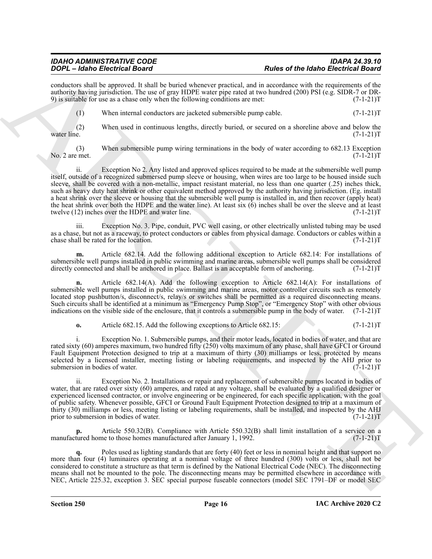conductors shall be approved. It shall be buried whenever practical, and in accordance with the requirements of the authority having jurisdiction. The use of gray HDPE water pipe rated at two hundred (200) PSI (e.g. SIDR-7 or DR-<br>9) is suitable for use as a chase only when the following conditions are met: (7-1-21) 9) is suitable for use as a chase only when the following conditions are met:

(1) When internal conductors are jacketed submersible pump cable.  $(7-1-21)T$ 

(2) When used in continuous lengths, directly buried, or secured on a shoreline above and below the water line.  $(7-1-21)T$ water line. (7-1-21)T

(3) When submersible pump wiring terminations in the body of water according to 682.13 Exception No. 2 are met.  $(7-1-21)T$ 

For C-Book British Band V and the blood and the state that be the state of the blood British Band V and the state of the state of the state of the state of the state of the state of the state of the state of the state of ii. Exception No 2. Any listed and approved splices required to be made at the submersible well pump itself, outside of a recognized submersed pump sleeve or housing, when wires are too large to be housed inside such sleeve, shall be covered with a non-metallic, impact resistant material, no less than one quarter (.25) inches thick, such as heavy duty heat shrink or other equivalent method approved by the authority having jurisdiction. (Eg. install a heat shrink over the sleeve or housing that the submersible well pump is installed in, and then recover (apply heat) the heat shrink over both the HDPE and the water line). At least six (6) inches shall be over the sleeve and at least twelve (12) inches over the HDPE and water line. (7-1-21)T

iii. Exception No. 3. Pipe, conduit, PVC well casing, or other electrically unlisted tubing may be used as a chase, but not as a raceway, to protect conductors or cables from physical damage. Conductors or cables within a chase shall be rated for the location. (7-1-21)T chase shall be rated for the location.

**m.** Article 682.14. Add the following additional exception to Article 682.14: For installations of submersible well pumps installed in public swimming and marine areas, submersible well pumps shall be considered directly connected and shall be anchored in place. Ballast is an acceptable form of anchoring. (7-1-21)T directly connected and shall be anchored in place. Ballast is an acceptable form of anchoring.

**n.** Article 682.14(A). Add the following exception to Article 682.14(A): For installations of submersible well pumps installed in public swimming and marine areas, motor controller circuits such as remotely located stop pushbutton/s, disconnect/s, relay/s or switches shall be permitted as a required disconnecting means. Such circuits shall be identified at a minimum as "Emergency Pump Stop", or "Emergency Stop" with other obvious indications on the visible side of the enclosure, that it controls a submersible pump in the body of water. (7-1-21)T

**o.** Article 682.15. Add the following exceptions to Article 682.15: (7-1-21)

i. Exception No. 1. Submersible pumps, and their motor leads, located in bodies of water, and that are rated sixty (60) amperes maximum, two hundred fifty (250) volts maximum of any phase, shall have GFCI or Ground Fault Equipment Protection designed to trip at a maximum of thirty (30) milliamps or less, protected by means selected by a licensed installer, meeting listing or labeling requirements, and inspected by the AHJ prior to submersion in bodies of water.  $(7-1-21)T$ submersion in bodies of water.

ii. Exception No. 2. Installations or repair and replacement of submersible pumps located in bodies of water, that are rated over sixty (60) amperes, and rated at any voltage, shall be evaluated by a qualified designer or experienced licensed contractor, or involve engineering or be engineered, for each specific application, with the goal of public safety. Whenever possible, GFCI or Ground Fault Equipment Protection designed to trip at a maximum of thirty (30) milliamps or less, meeting listing or labeling requirements, shall be installed, and inspected by the AHJ prior to submersion in bodies of water. (7-1-21)T

**p.** Article 550.32(B). Compliance with Article 550.32(B) shall limit installation of a service on a tured home to those homes manufactured after January 1, 1992. (7-1-21) manufactured home to those homes manufactured after January 1, 1992.

**q.** Poles used as lighting standards that are forty (40) feet or less in nominal height and that support no more than four (4) luminaires operating at a nominal voltage of three hundred (300) volts or less, shall not be considered to constitute a structure as that term is defined by the National Electrical Code (NEC). The disconnecting means shall not be mounted to the pole. The disconnecting means may be permitted elsewhere in accordance with NEC, Article 225.32, exception 3. SEC special purpose fuseable connectors (model SEC 1791–DF or model SEC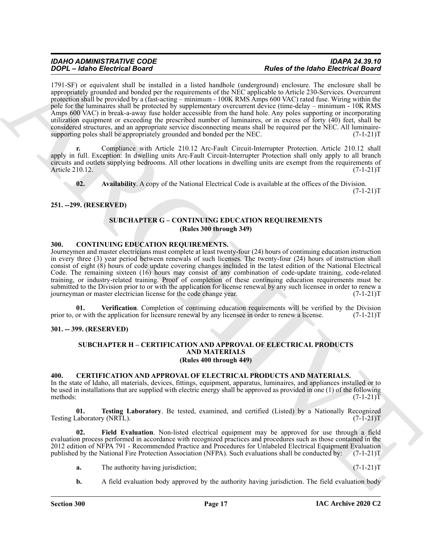**FOCA - Labor Breathcall Research Archives Controlled International Research College and The March Englisher College and College and College and College and College and College and College and College and College and Coll** 1791-SF) or equivalent shall be installed in a listed handhole (underground) enclosure. The enclosure shall be appropriately grounded and bonded per the requirements of the NEC applicable to Article 230-Services. Overcurrent protection shall be provided by a (fast-acting – minimum - 100K RMS Amps 600 VAC) rated fuse. Wiring within the pole for the luminaires shall be protected by supplementary overcurrent device (time-delay – minimum - 10K RMS Amps 600 VAC) in break-a-away fuse holder accessible from the hand hole. Any poles supporting or incorporating utilization equipment or exceeding the prescribed number of luminaires, or in excess of forty (40) feet, shall be considered structures, and an appropriate service disconnecting means shall be required per the NEC. All luminairesupporting poles shall be appropriately grounded and bonded per the NEC.  $(7-1-21)T$ 

**r.** Compliance with Article 210.12 Arc-Fault Circuit-Interrupter Protection. Article 210.12 shall apply in full. Exception: In dwelling units Arc-Fault Circuit-Interrupter Protection shall only apply to all branch circuits and outlets supplying bedrooms. All other locations in dwelling units are exempt from the requirements of Article 210.12. (7-1-21) Article 210.12.

<span id="page-16-6"></span>**02. Availability**. A copy of the National Electrical Code is available at the offices of the Division.

 $(7-1-21)T$ 

#### <span id="page-16-1"></span><span id="page-16-0"></span>**251. --299. (RESERVED)**

#### **SUBCHAPTER G – CONTINUING EDUCATION REQUIREMENTS (Rules 300 through 349)**

#### <span id="page-16-10"></span><span id="page-16-2"></span>**300. CONTINUING EDUCATION REQUIREMENTS.**

Journeymen and master electricians must complete at least twenty-four (24) hours of continuing education instruction in every three (3) year period between renewals of such licenses. The twenty-four (24) hours of instruction shall consist of eight (8) hours of code update covering changes included in the latest edition of the National Electrical Code. The remaining sixteen (16) hours may consist of any combination of code-update training, code-related training, or industry-related training. Proof of completion of these continuing education requirements must be submitted to the Division prior to or with the application for license renewal by any such licensee in order to renew a journeyman or master electrician license for the code change year. (7-1-21) journeyman or master electrician license for the code change year.

**01.** Verification. Completion of continuing education requirements will be verified by the Division or with the application for licensure renewal by any licensee in order to renew a license. (7-1-21) prior to, or with the application for licensure renewal by any licensee in order to renew a license.

#### <span id="page-16-4"></span><span id="page-16-3"></span>**301. -- 399. (RESERVED)**

#### <span id="page-16-11"></span><span id="page-16-7"></span>**SUBCHAPTER H – CERTIFICATION AND APPROVAL OF ELECTRICAL PRODUCTS AND MATERIALS (Rules 400 through 449)**

#### <span id="page-16-5"></span>**400. CERTIFICATION AND APPROVAL OF ELECTRICAL PRODUCTS AND MATERIALS.**

In the state of Idaho, all materials, devices, fittings, equipment, apparatus, luminaires, and appliances installed or to be used in installations that are supplied with electric energy shall be approved as provided in one (1) of the following methods:  $(7-1-21)T$ 

<span id="page-16-9"></span>**01. Testing Laboratory**. Be tested, examined, and certified (Listed) by a Nationally Recognized Laboratory (NRTL). (7-1-21) Testing Laboratory (NRTL).

**02. Field Evaluation**. Non-listed electrical equipment may be approved for use through a field evaluation process performed in accordance with recognized practices and procedures such as those contained in the 2012 edition of NFPA 791 - Recommended Practice and Procedures for Unlabeled Electrical Equipment Evaluation published by the National Fire Protection Association (NFPA). Such evaluations shall be conducted by: (7-1-21)T published by the National Fire Protection Association (NFPA). Such evaluations shall be conducted by:

- <span id="page-16-8"></span>**a.** The authority having jurisdiction; (7-1-21)T
- **b.** A field evaluation body approved by the authority having jurisdiction. The field evaluation body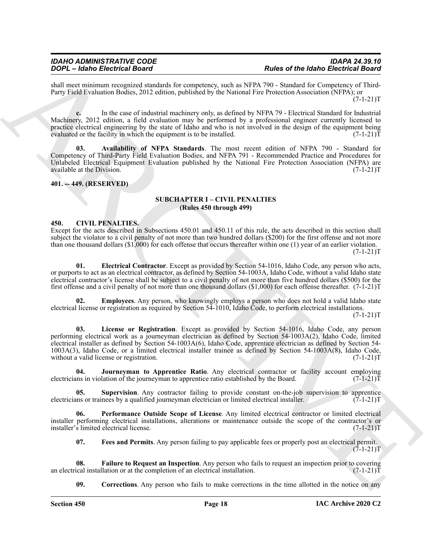shall meet minimum recognized standards for competency, such as NFPA 790 - Standard for Competency of Third-Party Field Evaluation Bodies, 2012 edition, published by the National Fire Protection Association (NFPA); or  $(7-1-21)T$ 

**c.** In the case of industrial machinery only, as defined by NFPA 79 - Electrical Standard for Industrial Machinery, 2012 edition, a field evaluation may be performed by a professional engineer currently licensed to practice electrical engineering by the state of Idaho and who is not involved in the design of the equipment being<br>evaluated or the facility in which the equipment is to be installed. (7-1-21) evaluated or the facility in which the equipment is to be installed.

<span id="page-17-3"></span>**03. Availability of NFPA Standards**. The most recent edition of NFPA 790 - Standard for Competency of Third-Party Field Evaluation Bodies, and NFPA 791 - Recommended Practice and Procedures for Unlabeled Electrical Equipment Evaluation published by the National Fire Protection Association (NFPA) are available at the Division. (7-1-21)T available at the Division.

#### <span id="page-17-1"></span><span id="page-17-0"></span>**401. -- 449. (RESERVED)**

#### **SUBCHAPTER I – CIVIL PENALTIES (Rules 450 through 499)**

#### <span id="page-17-4"></span><span id="page-17-2"></span>**450. CIVIL PENALTIES.**

Except for the acts described in Subsections 450.01 and 450.11 of this rule, the acts described in this section shall subject the violator to a civil penalty of not more than two hundred dollars (\$200) for the first offense and not more than one thousand dollars  $(\$1,000)$  for each offense that occurs thereafter within one (1) year of an earlier violation.  $(7-1-21)T$ 

<span id="page-17-6"></span>**01. Electrical Contractor**. Except as provided by Section 54-1016, Idaho Code, any person who acts, or purports to act as an electrical contractor, as defined by Section 54-1003A, Idaho Code, without a valid Idaho state electrical contractor's license shall be subject to a civil penalty of not more than five hundred dollars (\$500) for the first offense and a civil penalty of not more than one thousand dollars (\$1,000) for each offense thereafter.  $(7-1-21)T$ 

<span id="page-17-11"></span><span id="page-17-7"></span>**02. Employees**. Any person, who knowingly employs a person who does not hold a valid Idaho state electrical license or registration as required by Section 54-1010, Idaho Code, to perform electrical installations.

 $(7-1-21)T$ 

**FOOT - Example 10.** The state of the state of the state of the detection of the state of the state of the state of the state of the state of the state of the state of the state of the state of the state of the state of t **03. License or Registration**. Except as provided by Section 54-1016, Idaho Code, any person performing electrical work as a journeyman electrician as defined by Section 54-1003A(2), Idaho Code, limited electrical installer as defined by Section 54-1003A(6), Idaho Code, apprentice electrician as defined by Section 54- 1003A(3), Idaho Code, or a limited electrical installer trainee as defined by Section 54-1003A(8), Idaho Code, without a valid license or registration.

<span id="page-17-10"></span>**04.** Journeyman to Apprentice Ratio. Any electrical contractor or facility account employing in violation of the journeyman to apprentice ratio established by the Board. (7-1-21) electricians in violation of the journeyman to apprentice ratio established by the Board.

<span id="page-17-13"></span>**05.** Supervision. Any contractor failing to provide constant on-the-job supervision to apprentice ins or trainees by a qualified journeyman electrician or limited electrical installer. (7-1-21) electricians or trainees by a qualified journeyman electrician or limited electrical installer.

**06. Performance Outside Scope of License**. Any limited electrical contractor or limited electrical installer performing electrical installations, alterations or maintenance outside the scope of the contractor's or installer's limited electrical license. (7-1-21)T

<span id="page-17-12"></span><span id="page-17-9"></span><span id="page-17-8"></span>**07. Fees and Permits**. Any person failing to pay applicable fees or properly post an electrical permit.  $(7-1-21)T$ 

**08.** Failure to Request an Inspection. Any person who fails to request an inspection prior to covering ical installation or at the completion of an electrical installation. (7-1-21) an electrical installation or at the completion of an electrical installation.

<span id="page-17-5"></span>**09. Corrections**. Any person who fails to make corrections in the time allotted in the notice on any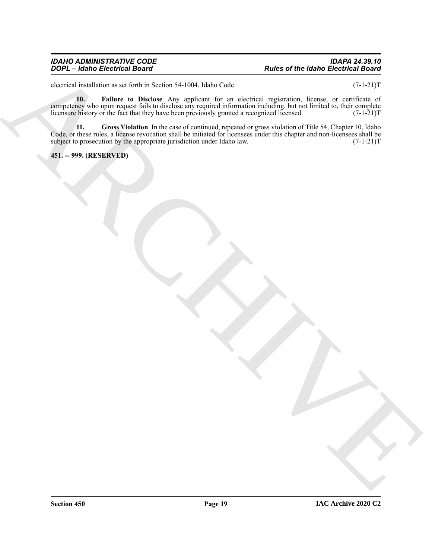#### *IDAHO ADMINISTRATIVE CODE IDAPA 24.39.10 DOPL – Idaho Electrical Board Rules of the Idaho Electrical Board*

electrical installation as set forth in Section 54-1004, Idaho Code. (7-1-21)T

<span id="page-18-2"></span><span id="page-18-1"></span>**10. Failure to Disclose**. Any applicant for an electrical registration, license, or certificate of competency who upon request fails to disclose any required information including, but not limited to, their complete licensure history or the fact that they have been previously granted a recognized licensed. (7-1-21)T

 $\overrightarrow{AD}$  ( $\overrightarrow{AB}$ ) and  $\overrightarrow{BA}$  ( $\overrightarrow{AB}$ ) and  $\overrightarrow{AB}$  ( $\overrightarrow{AB}$ ) and  $\overrightarrow{AB}$  ( $\overrightarrow{AB}$ ) and  $\overrightarrow{AB}$  ( $\overrightarrow{AB}$ ) and  $\overrightarrow{AB}$  ( $\overrightarrow{AB}$ ) and  $\overrightarrow{AB}$  ( $\overrightarrow{AB}$ ) and  $\overrightarrow{AB}$  ( $\overrightarrow{AB}$ ) and  $\overrightarrow{AB}$  ( $\overrightarrow{AB}$ ) and  $\overrightarrow{$ **11. Gross Violation**. In the case of continued, repeated or gross violation of Title 54, Chapter 10, Idaho Code, or these rules, a license revocation shall be initiated for licensees under this chapter and non-licensees shall be subject to prosecution by the appropriate jurisdiction under Idaho law. (7-1-21) subject to prosecution by the appropriate jurisdiction under Idaho law.

<span id="page-18-0"></span>**451. -- 999. (RESERVED)**